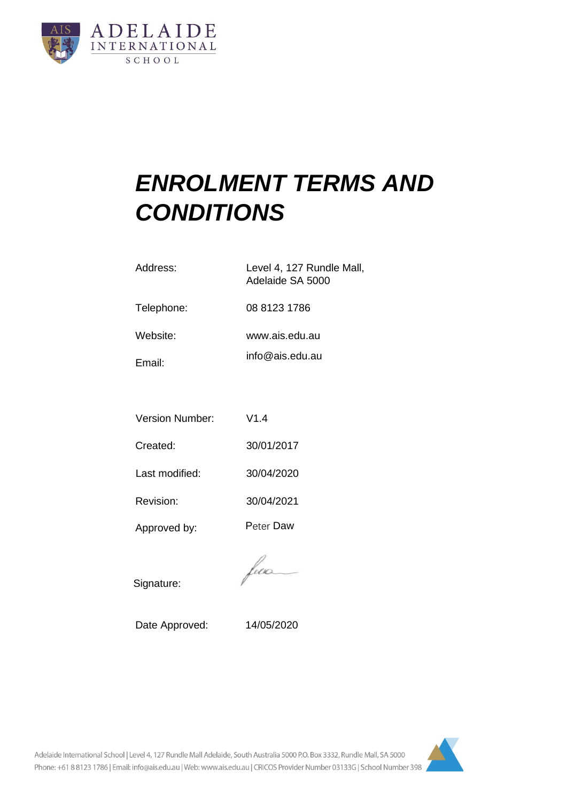

# *ENROLMENT TERMS AND CONDITIONS*

| Address:   | Level 4, 127 Rundle Mall,<br>Adelaide SA 5000 |  |
|------------|-----------------------------------------------|--|
| Telephone: | 08 8123 1786                                  |  |
| Website:   | www.ais.edu.au                                |  |
| Email:     | info@ais.edu.au                               |  |

|  | <b>Version Number:</b> | V1.4 |
|--|------------------------|------|
|--|------------------------|------|

Created: 30/01/2017

Last modified: 30/04/2020

Revision: 30/04/2021

Approved by: Peter Daw

fun

Signature:

Date Approved: 14/05/2020

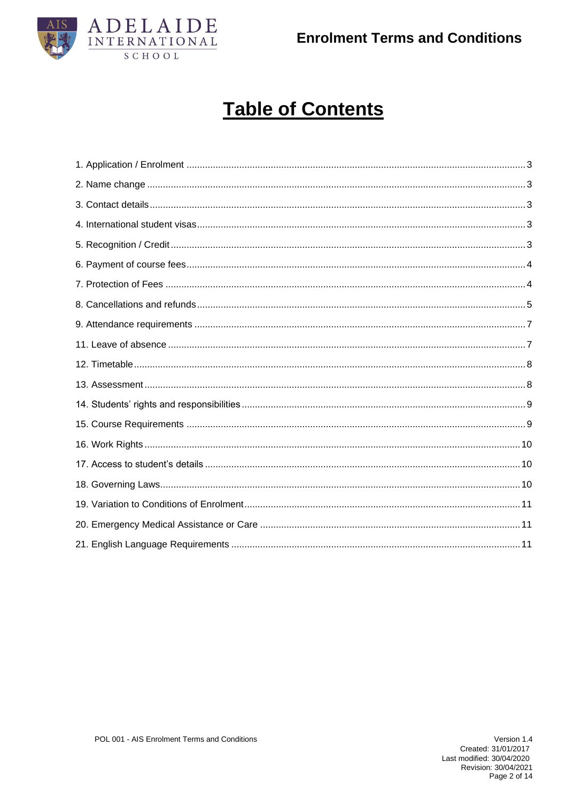



## **Table of Contents**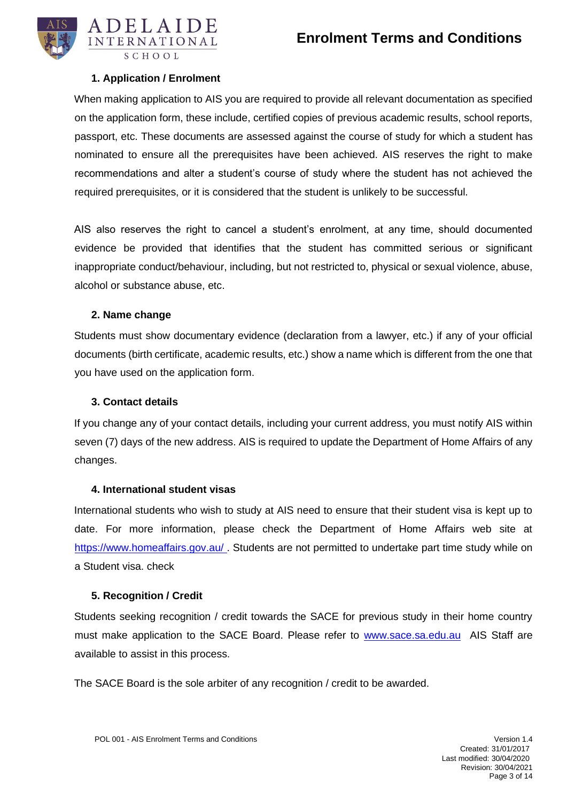

#### **1. Application / Enrolment**

<span id="page-2-0"></span>When making application to AIS you are required to provide all relevant documentation as specified on the application form, these include, certified copies of previous academic results, school reports, passport, etc. These documents are assessed against the course of study for which a student has nominated to ensure all the prerequisites have been achieved. AIS reserves the right to make recommendations and alter a student's course of study where the student has not achieved the required prerequisites, or it is considered that the student is unlikely to be successful.

AIS also reserves the right to cancel a student's enrolment, at any time, should documented evidence be provided that identifies that the student has committed serious or significant inappropriate conduct/behaviour, including, but not restricted to, physical or sexual violence, abuse, alcohol or substance abuse, etc.

#### **2. Name change**

<span id="page-2-1"></span>Students must show documentary evidence (declaration from a lawyer, etc.) if any of your official documents (birth certificate, academic results, etc.) show a name which is different from the one that you have used on the application form.

#### **3. Contact details**

<span id="page-2-2"></span>If you change any of your contact details, including your current address, you must notify AIS within seven (7) days of the new address. AIS is required to update the Department of Home Affairs of any changes.

#### **4. International student visas**

<span id="page-2-3"></span>International students who wish to study at AIS need to ensure that their student visa is kept up to date. For more information, please check the Department of Home Affairs web site at <https://www.homeaffairs.gov.au/> Students are not permitted to undertake part time study while on a Student visa. check

#### **5. Recognition / Credit**

<span id="page-2-4"></span>Students seeking recognition / credit towards the SACE for previous study in their home country must make application to the SACE Board. Please refer to [www.sace.sa.edu.au](http://www.sace.sa.edu.au/) AIS Staff are available to assist in this process.

The SACE Board is the sole arbiter of any recognition / credit to be awarded.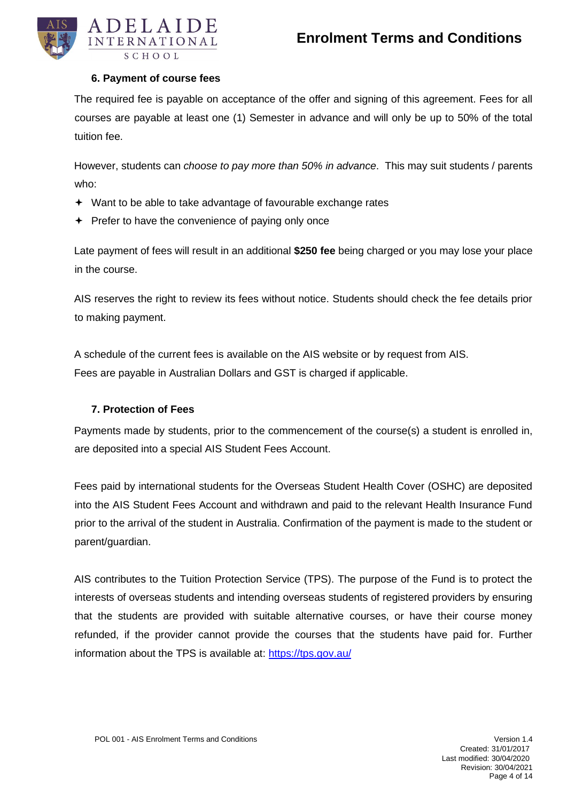

#### **6. Payment of course fees**

<span id="page-3-0"></span>The required fee is payable on acceptance of the offer and signing of this agreement. Fees for all courses are payable at least one (1) Semester in advance and will only be up to 50% of the total tuition fee.

However, students can *choose to pay more than 50% in advance*. This may suit students / parents who:

- Want to be able to take advantage of favourable exchange rates
- $\div$  Prefer to have the convenience of paying only once

Late payment of fees will result in an additional **\$250 fee** being charged or you may lose your place in the course.

AIS reserves the right to review its fees without notice. Students should check the fee details prior to making payment.

A schedule of the current fees is available on the AIS website or by request from AIS. Fees are payable in Australian Dollars and GST is charged if applicable.

#### **7. Protection of Fees**

<span id="page-3-1"></span>Payments made by students, prior to the commencement of the course(s) a student is enrolled in, are deposited into a special AIS Student Fees Account.

Fees paid by international students for the Overseas Student Health Cover (OSHC) are deposited into the AIS Student Fees Account and withdrawn and paid to the relevant Health Insurance Fund prior to the arrival of the student in Australia. Confirmation of the payment is made to the student or parent/guardian.

AIS contributes to the Tuition Protection Service (TPS). The purpose of the Fund is to protect the interests of overseas students and intending overseas students of registered providers by ensuring that the students are provided with suitable alternative courses, or have their course money refunded, if the provider cannot provide the courses that the students have paid for. Further information about the TPS is available at:<https://tps.gov.au/>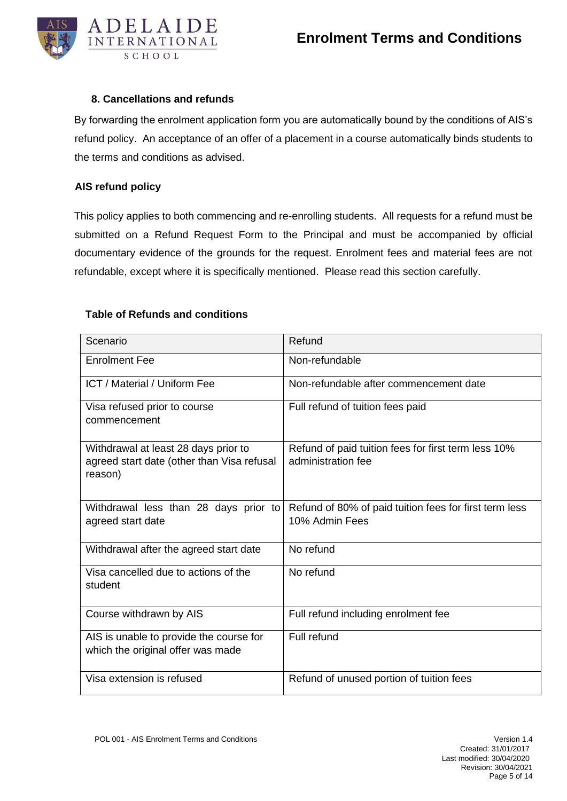

#### **8. Cancellations and refunds**

<span id="page-4-0"></span>By forwarding the enrolment application form you are automatically bound by the conditions of AIS's refund policy. An acceptance of an offer of a placement in a course automatically binds students to the terms and conditions as advised.

#### **AIS refund policy**

This policy applies to both commencing and re-enrolling students. All requests for a refund must be submitted on a Refund Request Form to the Principal and must be accompanied by official documentary evidence of the grounds for the request. Enrolment fees and material fees are not refundable, except where it is specifically mentioned. Please read this section carefully.

#### **Table of Refunds and conditions**

| Scenario                                                                                      | Refund                                                                    |
|-----------------------------------------------------------------------------------------------|---------------------------------------------------------------------------|
| <b>Enrolment Fee</b>                                                                          | Non-refundable                                                            |
| <b>ICT / Material / Uniform Fee</b>                                                           | Non-refundable after commencement date                                    |
| Visa refused prior to course<br>commencement                                                  | Full refund of tuition fees paid                                          |
| Withdrawal at least 28 days prior to<br>agreed start date (other than Visa refusal<br>reason) | Refund of paid tuition fees for first term less 10%<br>administration fee |
| Withdrawal less than 28 days prior to<br>agreed start date                                    | Refund of 80% of paid tuition fees for first term less<br>10% Admin Fees  |
| Withdrawal after the agreed start date                                                        | No refund                                                                 |
| Visa cancelled due to actions of the<br>student                                               | No refund                                                                 |
| Course withdrawn by AIS                                                                       | Full refund including enrolment fee                                       |
| AIS is unable to provide the course for<br>which the original offer was made                  | Full refund                                                               |
| Visa extension is refused                                                                     | Refund of unused portion of tuition fees                                  |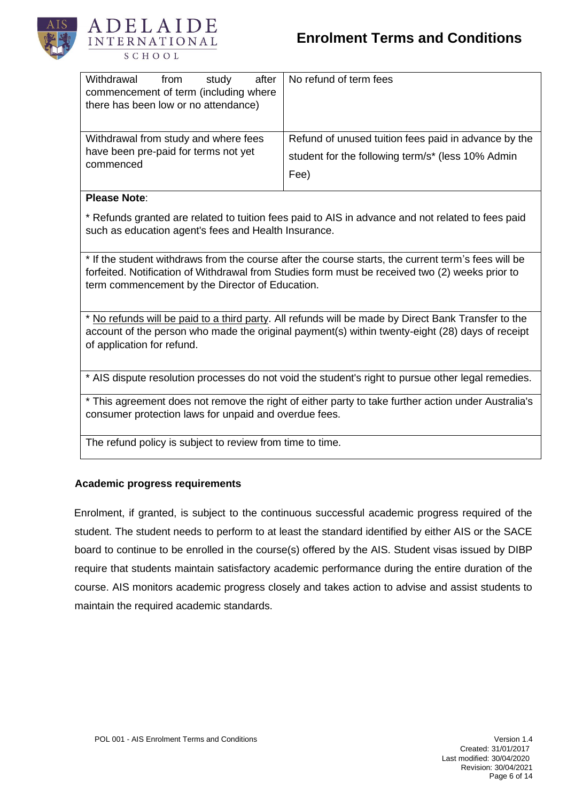



| Withdrawal<br>study<br>after<br>from<br>commencement of term (including where<br>there has been low or no attendance) | No refund of term fees                               |
|-----------------------------------------------------------------------------------------------------------------------|------------------------------------------------------|
| Withdrawal from study and where fees                                                                                  | Refund of unused tuition fees paid in advance by the |
| have been pre-paid for terms not yet                                                                                  | student for the following term/s* (less 10% Admin    |
| commenced                                                                                                             | Fee)                                                 |

#### **Please Note**:

\* Refunds granted are related to tuition fees paid to AIS in advance and not related to fees paid such as education agent's fees and Health Insurance.

\* If the student withdraws from the course after the course starts, the current term's fees will be forfeited. Notification of Withdrawal from Studies form must be received two (2) weeks prior to term commencement by the Director of Education.

\* No refunds will be paid to a third party. All refunds will be made by Direct Bank Transfer to the account of the person who made the original payment(s) within twenty-eight (28) days of receipt of application for refund.

\* AIS dispute resolution processes do not void the student's right to pursue other legal remedies.

\* This agreement does not remove the right of either party to take further action under Australia's consumer protection laws for unpaid and overdue fees.

The refund policy is subject to review from time to time.

#### **Academic progress requirements**

Enrolment, if granted, is subject to the continuous successful academic progress required of the student. The student needs to perform to at least the standard identified by either AIS or the SACE board to continue to be enrolled in the course(s) offered by the AIS. Student visas issued by DIBP require that students maintain satisfactory academic performance during the entire duration of the course. AIS monitors academic progress closely and takes action to advise and assist students to maintain the required academic standards.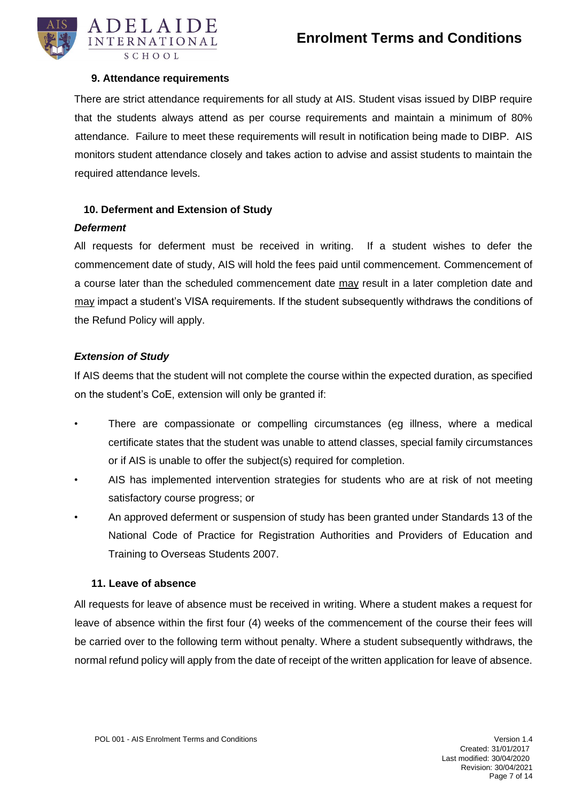

#### **9. Attendance requirements**

<span id="page-6-0"></span>There are strict attendance requirements for all study at AIS. Student visas issued by DIBP require that the students always attend as per course requirements and maintain a minimum of 80% attendance. Failure to meet these requirements will result in notification being made to DIBP. AIS monitors student attendance closely and takes action to advise and assist students to maintain the required attendance levels.

#### **10. Deferment and Extension of Study**

#### *Deferment*

All requests for deferment must be received in writing. If a student wishes to defer the commencement date of study, AIS will hold the fees paid until commencement. Commencement of a course later than the scheduled commencement date may result in a later completion date and may impact a student's VISA requirements. If the student subsequently withdraws the conditions of the Refund Policy will apply.

#### *Extension of Study*

If AIS deems that the student will not complete the course within the expected duration, as specified on the student's CoE, extension will only be granted if:

- There are compassionate or compelling circumstances (eg illness, where a medical certificate states that the student was unable to attend classes, special family circumstances or if AIS is unable to offer the subject(s) required for completion.
- AIS has implemented intervention strategies for students who are at risk of not meeting satisfactory course progress; or
- An approved deferment or suspension of study has been granted under Standards 13 of the National Code of Practice for Registration Authorities and Providers of Education and Training to Overseas Students 2007.

#### **11. Leave of absence**

<span id="page-6-1"></span>All requests for leave of absence must be received in writing. Where a student makes a request for leave of absence within the first four (4) weeks of the commencement of the course their fees will be carried over to the following term without penalty. Where a student subsequently withdraws, the normal refund policy will apply from the date of receipt of the written application for leave of absence.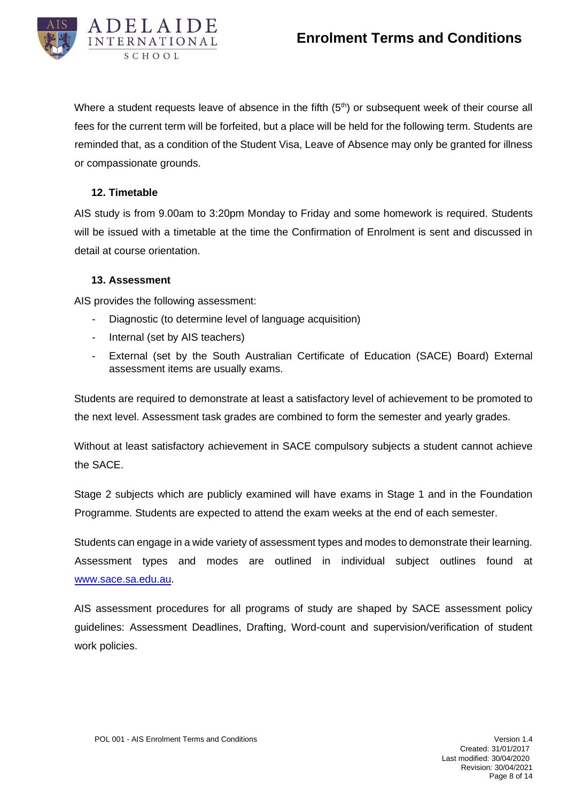

Where a student requests leave of absence in the fifth  $(5<sup>th</sup>)$  or subsequent week of their course all fees for the current term will be forfeited, but a place will be held for the following term. Students are reminded that, as a condition of the Student Visa, Leave of Absence may only be granted for illness or compassionate grounds.

#### **12. Timetable**

<span id="page-7-0"></span>AIS study is from 9.00am to 3:20pm Monday to Friday and some homework is required. Students will be issued with a timetable at the time the Confirmation of Enrolment is sent and discussed in detail at course orientation.

#### **13. Assessment**

<span id="page-7-1"></span>AIS provides the following assessment:

- Diagnostic (to determine level of language acquisition)
- Internal (set by AIS teachers)
- External (set by the South Australian Certificate of Education (SACE) Board) External assessment items are usually exams.

Students are required to demonstrate at least a satisfactory level of achievement to be promoted to the next level. Assessment task grades are combined to form the semester and yearly grades.

Without at least satisfactory achievement in SACE compulsory subjects a student cannot achieve the SACE.

Stage 2 subjects which are publicly examined will have exams in Stage 1 and in the Foundation Programme. Students are expected to attend the exam weeks at the end of each semester.

Students can engage in a wide variety of assessment types and modes to demonstrate their learning. Assessment types and modes are outlined in individual subject outlines found at [www.sace.sa.edu.au.](http://www.sace.sa.edu.au/) 

AIS assessment procedures for all programs of study are shaped by SACE assessment policy guidelines: Assessment Deadlines, Drafting, Word-count and supervision/verification of student work policies.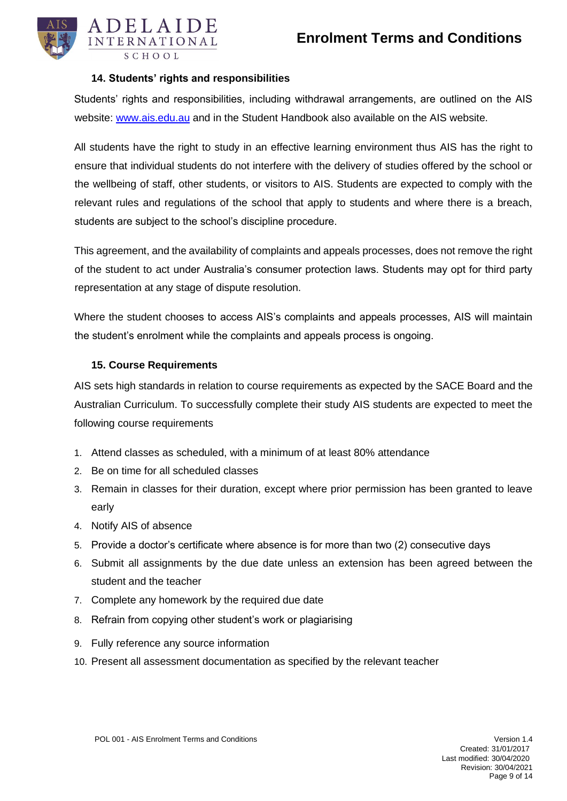

#### **14. Students' rights and responsibilities**

<span id="page-8-0"></span>Students' rights and responsibilities, including withdrawal arrangements, are outlined on the AIS website: [www.ais.edu.au](http://www.ais.edu.au/) and in the Student Handbook also available on the AIS website.

All students have the right to study in an effective learning environment thus AIS has the right to ensure that individual students do not interfere with the delivery of studies offered by the school or the wellbeing of staff, other students, or visitors to AIS. Students are expected to comply with the relevant rules and regulations of the school that apply to students and where there is a breach, students are subject to the school's discipline procedure.

This agreement, and the availability of complaints and appeals processes, does not remove the right of the student to act under Australia's consumer protection laws. Students may opt for third party representation at any stage of dispute resolution.

Where the student chooses to access AIS's complaints and appeals processes, AIS will maintain the student's enrolment while the complaints and appeals process is ongoing.

#### **15. Course Requirements**

<span id="page-8-1"></span>AIS sets high standards in relation to course requirements as expected by the SACE Board and the Australian Curriculum. To successfully complete their study AIS students are expected to meet the following course requirements

- 1. Attend classes as scheduled, with a minimum of at least 80% attendance
- 2. Be on time for all scheduled classes
- 3. Remain in classes for their duration, except where prior permission has been granted to leave early
- 4. Notify AIS of absence
- 5. Provide a doctor's certificate where absence is for more than two (2) consecutive days
- 6. Submit all assignments by the due date unless an extension has been agreed between the student and the teacher
- 7. Complete any homework by the required due date
- 8. Refrain from copying other student's work or plagiarising
- 9. Fully reference any source information
- 10. Present all assessment documentation as specified by the relevant teacher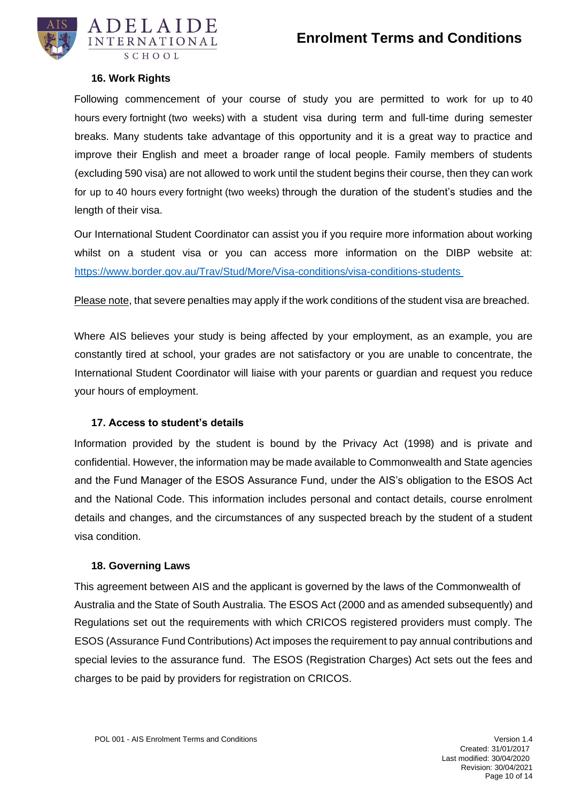

#### **16. Work Rights**

<span id="page-9-0"></span>Following commencement of your course of study you are permitted to work for up to 40 hours every fortnight (two weeks) with a student visa during term and full-time during semester breaks. Many students take advantage of this opportunity and it is a great way to practice and improve their English and meet a broader range of local people. Family members of students (excluding 590 visa) are not allowed to work until the student begins their course, then they can work for up to 40 hours every fortnight (two weeks) through the duration of the student's studies and the length of their visa.

Our International Student Coordinator can assist you if you require more information about working whilst on a student visa or you can access more information on the DIBP website at: <https://www.border.gov.au/Trav/Stud/More/Visa-conditions/visa-conditions-students>

Please note, that severe penalties may apply if the work conditions of the student visa are breached.

Where AIS believes your study is being affected by your employment, as an example, you are constantly tired at school, your grades are not satisfactory or you are unable to concentrate, the International Student Coordinator will liaise with your parents or guardian and request you reduce your hours of employment.

#### **17. Access to student's details**

<span id="page-9-1"></span>Information provided by the student is bound by the Privacy Act (1998) and is private and confidential. However, the information may be made available to Commonwealth and State agencies and the Fund Manager of the ESOS Assurance Fund, under the AIS's obligation to the ESOS Act and the National Code. This information includes personal and contact details, course enrolment details and changes, and the circumstances of any suspected breach by the student of a student visa condition.

#### **18. Governing Laws**

<span id="page-9-2"></span>This agreement between AIS and the applicant is governed by the laws of the Commonwealth of Australia and the State of South Australia. The ESOS Act (2000 and as amended subsequently) and Regulations set out the requirements with which CRICOS registered providers must comply. The ESOS (Assurance Fund Contributions) Act imposes the requirement to pay annual contributions and special levies to the assurance fund. The ESOS (Registration Charges) Act sets out the fees and charges to be paid by providers for registration on CRICOS.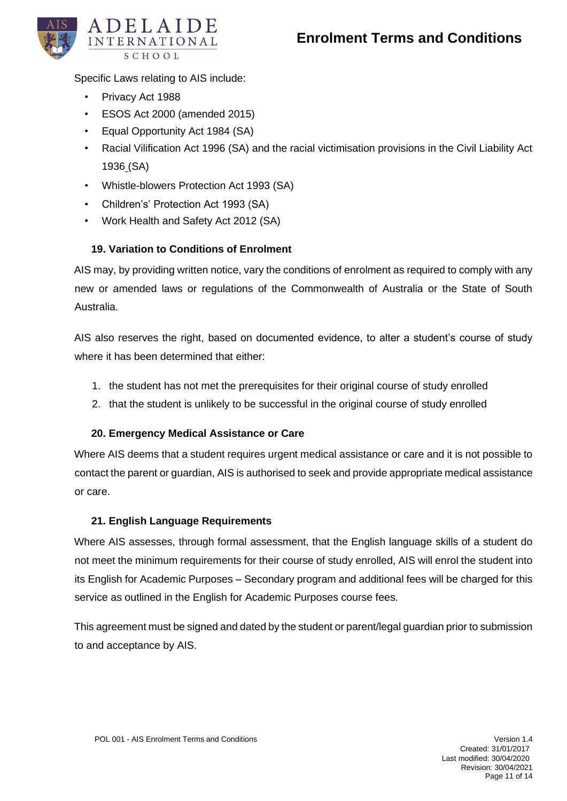

Specific Laws relating to AIS include:

- Privacy Act 1988
- ESOS Act 2000 (amended 2015)
- Equal Opportunity Act 1984 (SA)
- Racial Vilification Act 1996 (SA) and the racial victimisation provisions in the Civil Liability Act 1936 (SA)
- Whistle-blowers Protection Act 1993 (SA)
- Children's' Protection Act 1993 (SA)
- Work Health and Safety Act 2012 (SA)

#### **19. Variation to Conditions of Enrolment**

<span id="page-10-0"></span>AIS may, by providing written notice, vary the conditions of enrolment as required to comply with any new or amended laws or regulations of the Commonwealth of Australia or the State of South Australia.

AIS also reserves the right, based on documented evidence, to alter a student's course of study where it has been determined that either:

- 1. the student has not met the prerequisites for their original course of study enrolled
- 2. that the student is unlikely to be successful in the original course of study enrolled

#### **20. Emergency Medical Assistance or Care**

<span id="page-10-1"></span>Where AIS deems that a student requires urgent medical assistance or care and it is not possible to contact the parent or guardian, AIS is authorised to seek and provide appropriate medical assistance or care.

#### **21. English Language Requirements**

<span id="page-10-2"></span>Where AIS assesses, through formal assessment, that the English language skills of a student do not meet the minimum requirements for their course of study enrolled, AIS will enrol the student into its English for Academic Purposes – Secondary program and additional fees will be charged for this service as outlined in the English for Academic Purposes course fees.

This agreement must be signed and dated by the student or parent/legal guardian prior to submission to and acceptance by AIS.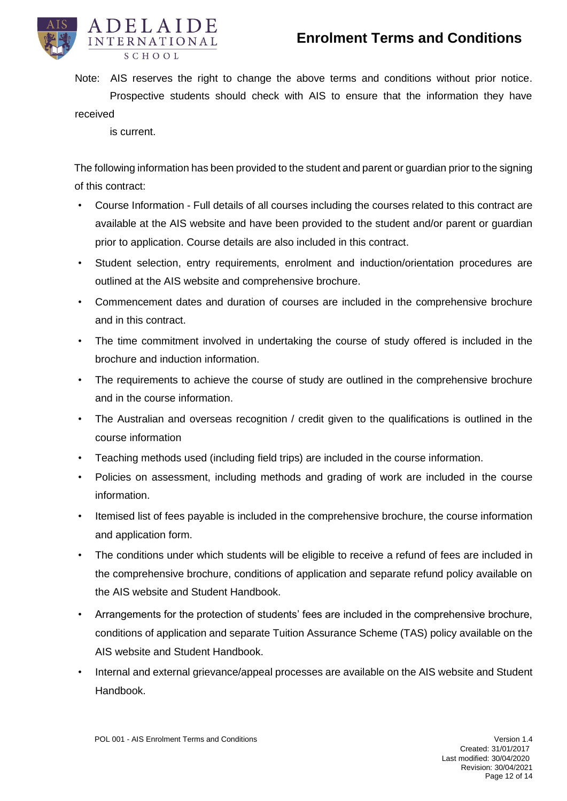

- Note: AIS reserves the right to change the above terms and conditions without prior notice. Prospective students should check with AIS to ensure that the information they have received
	- is current.

The following information has been provided to the student and parent or guardian prior to the signing of this contract:

- Course Information Full details of all courses including the courses related to this contract are available at the AIS website and have been provided to the student and/or parent or guardian prior to application. Course details are also included in this contract.
- Student selection, entry requirements, enrolment and induction/orientation procedures are outlined at the AIS website and comprehensive brochure.
- Commencement dates and duration of courses are included in the comprehensive brochure and in this contract.
- The time commitment involved in undertaking the course of study offered is included in the brochure and induction information.
- The requirements to achieve the course of study are outlined in the comprehensive brochure and in the course information.
- The Australian and overseas recognition / credit given to the qualifications is outlined in the course information
- Teaching methods used (including field trips) are included in the course information.
- Policies on assessment, including methods and grading of work are included in the course information.
- Itemised list of fees payable is included in the comprehensive brochure, the course information and application form.
- The conditions under which students will be eligible to receive a refund of fees are included in the comprehensive brochure, conditions of application and separate refund policy available on the AIS website and Student Handbook.
- Arrangements for the protection of students' fees are included in the comprehensive brochure, conditions of application and separate Tuition Assurance Scheme (TAS) policy available on the AIS website and Student Handbook.
- Internal and external grievance/appeal processes are available on the AIS website and Student Handbook.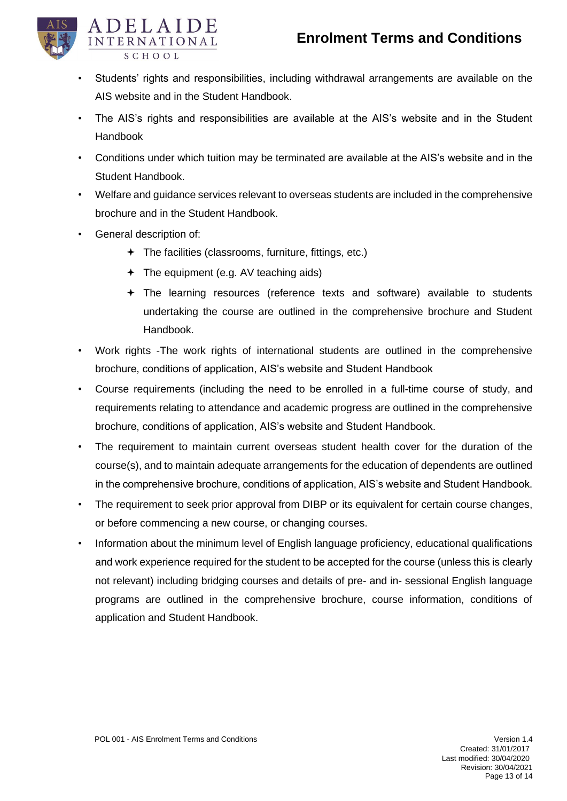

- Students' rights and responsibilities, including withdrawal arrangements are available on the AIS website and in the Student Handbook.
- The AIS's rights and responsibilities are available at the AIS's website and in the Student Handbook
- Conditions under which tuition may be terminated are available at the AIS's website and in the Student Handbook.
- Welfare and guidance services relevant to overseas students are included in the comprehensive brochure and in the Student Handbook.
- General description of:
	- The facilities (classrooms, furniture, fittings, etc.)
	- The equipment (e.g. AV teaching aids)
	- The learning resources (reference texts and software) available to students undertaking the course are outlined in the comprehensive brochure and Student Handbook.
- Work rights -The work rights of international students are outlined in the comprehensive brochure, conditions of application, AIS's website and Student Handbook
- Course requirements (including the need to be enrolled in a full-time course of study, and requirements relating to attendance and academic progress are outlined in the comprehensive brochure, conditions of application, AIS's website and Student Handbook.
- The requirement to maintain current overseas student health cover for the duration of the course(s), and to maintain adequate arrangements for the education of dependents are outlined in the comprehensive brochure, conditions of application, AIS's website and Student Handbook.
- The requirement to seek prior approval from DIBP or its equivalent for certain course changes, or before commencing a new course, or changing courses.
- Information about the minimum level of English language proficiency, educational qualifications and work experience required for the student to be accepted for the course (unless this is clearly not relevant) including bridging courses and details of pre- and in- sessional English language programs are outlined in the comprehensive brochure, course information, conditions of application and Student Handbook.